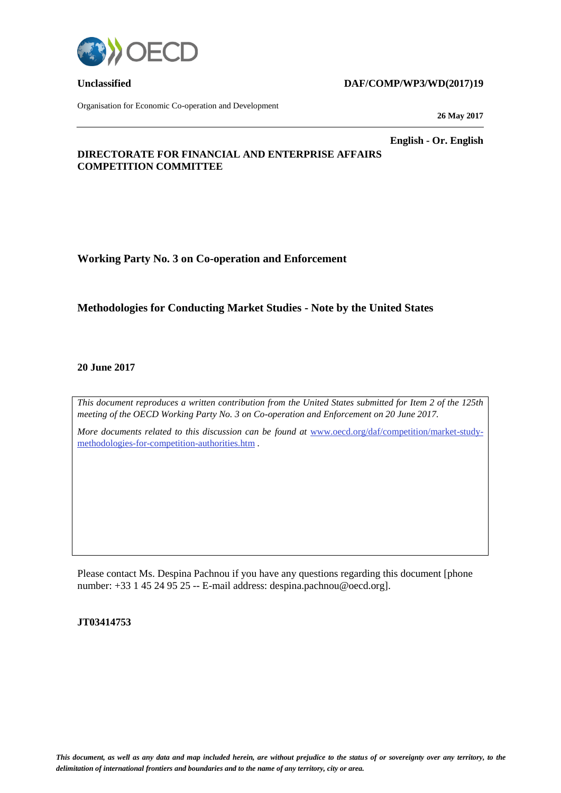

Organisation for Economic Co-operation and Development

#### **Unclassified DAF/COMP/WP3/WD(2017)19**

**26 May 2017**

**English - Or. English**

### **DIRECTORATE FOR FINANCIAL AND ENTERPRISE AFFAIRS COMPETITION COMMITTEE**

**Working Party No. 3 on Co-operation and Enforcement**

## **Methodologies for Conducting Market Studies - Note by the United States**

#### **20 June 2017**

*This document reproduces a written contribution from the United States submitted for Item 2 of the 125th meeting of the OECD Working Party No. 3 on Co-operation and Enforcement on 20 June 2017.* 

*More documents related to this discussion can be found at [www.oecd.org/daf/competition/market-study](http://www.oecd.org/daf/competition/market-study-methodologies-for-competition-authorities.htm)*[methodologies-for-competition-authorities.htm](http://www.oecd.org/daf/competition/market-study-methodologies-for-competition-authorities.htm) *.*

Please contact Ms. Despina Pachnou if you have any questions regarding this document [phone number: +33 1 45 24 95 25 -- E-mail address: despina.pachnou@oecd.org].

#### **JT03414753**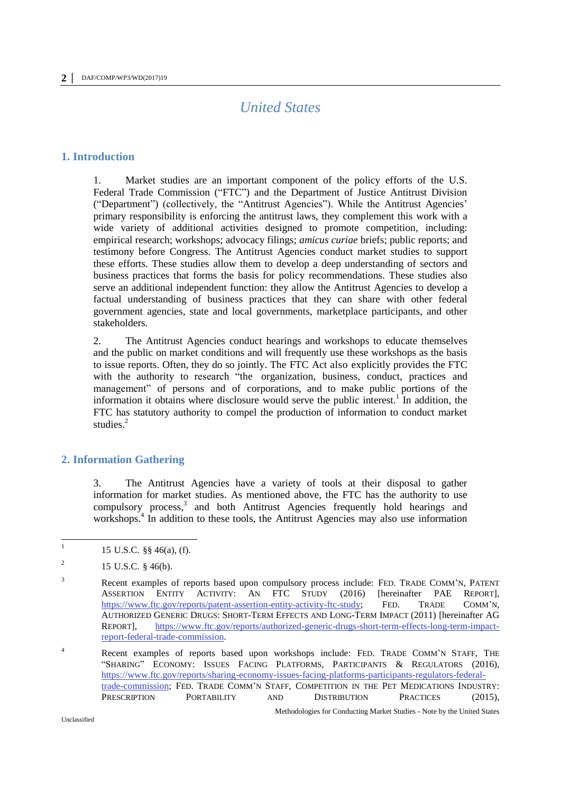# *United States*

#### **1. Introduction**

1. Market studies are an important component of the policy efforts of the U.S. Federal Trade Commission ("FTC") and the Department of Justice Antitrust Division ("Department") (collectively, the "Antitrust Agencies"). While the Antitrust Agencies' primary responsibility is enforcing the antitrust laws, they complement this work with a wide variety of additional activities designed to promote competition, including: empirical research; workshops; advocacy filings; *amicus curiae* briefs; public reports; and testimony before Congress. The Antitrust Agencies conduct market studies to support these efforts. These studies allow them to develop a deep understanding of sectors and business practices that forms the basis for policy recommendations. These studies also serve an additional independent function: they allow the Antitrust Agencies to develop a factual understanding of business practices that they can share with other federal government agencies, state and local governments, marketplace participants, and other stakeholders.

2. The Antitrust Agencies conduct hearings and workshops to educate themselves and the public on market conditions and will frequently use these workshops as the basis to issue reports. Often, they do so jointly. The FTC Act also explicitly provides the FTC with the authority to research "the organization, business, conduct, practices and management" of persons and of corporations, and to make public portions of the information it obtains where disclosure would serve the public interest.<sup>1</sup> In addition, the FTC has statutory authority to compel the production of information to conduct market studies. 2

### **2. Information Gathering**

<span id="page-1-0"></span>3. The Antitrust Agencies have a variety of tools at their disposal to gather information for market studies. As mentioned above, the FTC has the authority to use compulsory process, 3 and both Antitrust Agencies frequently hold hearings and workshops.<sup>4</sup> In addition to these tools, the Antitrust Agencies may also use information

<sup>|&</sup>lt;br>|<br>| 15 U.S.C. §§ 46(a), (f).

<sup>2</sup> 15 U.S.C. § 46(b).

<sup>&</sup>lt;sup>3</sup> Recent examples of reports based upon compulsory process include: FED. TRADE COMM'N, PATENT ASSERTION ENTITY ACTIVITY: AN FTC STUDY (2016) [hereinafter PAE REPORT], [https://www.ftc.gov/reports/patent-assertion-entity-activity-ftc-study;](https://www.ftc.gov/reports/patent-assertion-entity-activity-ftc-study) FED. TRADE COMM'N, AUTHORIZED GENERIC DRUGS: SHORT-TERM EFFECTS AND LONG-TERM IMPACT (2011) [hereinafter AG REPORT], [https://www.ftc.gov/reports/authorized-generic-drugs-short-term-effects-long-term-impact](https://www.ftc.gov/reports/authorized-generic-drugs-short-term-effects-long-term-impact-report-federal-trade-commission)[report-federal-trade-commission.](https://www.ftc.gov/reports/authorized-generic-drugs-short-term-effects-long-term-impact-report-federal-trade-commission)

<sup>4</sup> Recent examples of reports based upon workshops include: FED. TRADE COMM'N STAFF, THE "SHARING" ECONOMY: ISSUES FACING PLATFORMS, PARTICIPANTS & REGULATORS (2016), [https://www.ftc.gov/reports/sharing-economy-issues-facing-platforms-participants-regulators-federal](https://www.ftc.gov/reports/sharing-economy-issues-facing-platforms-participants-regulators-federal-trade-commission)[trade-commission;](https://www.ftc.gov/reports/sharing-economy-issues-facing-platforms-participants-regulators-federal-trade-commission) FED. TRADE COMM'N STAFF, COMPETITION IN THE PET MEDICATIONS INDUSTRY: PRESCRIPTION PORTABILITY AND DISTRIBUTION PRACTICES (2015),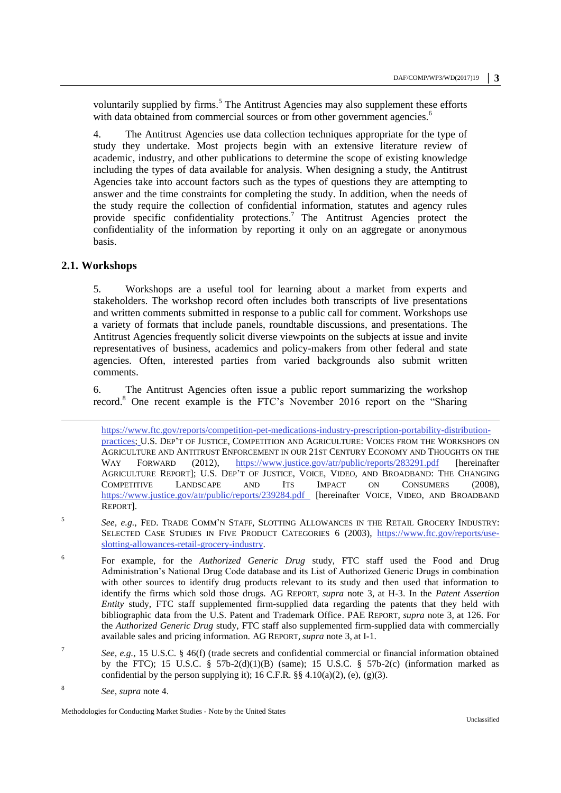voluntarily supplied by firms.<sup>5</sup> The Antitrust Agencies may also supplement these efforts with data obtained from commercial sources or from other government agencies.<sup>6</sup>

4. The Antitrust Agencies use data collection techniques appropriate for the type of study they undertake. Most projects begin with an extensive literature review of academic, industry, and other publications to determine the scope of existing knowledge including the types of data available for analysis. When designing a study, the Antitrust Agencies take into account factors such as the types of questions they are attempting to answer and the time constraints for completing the study. In addition, when the needs of the study require the collection of confidential information, statutes and agency rules provide specific confidentiality protections.<sup>7</sup> The Antitrust Agencies protect the confidentiality of the information by reporting it only on an aggregate or anonymous basis.

#### **2.1. Workshops**

-

5. Workshops are a useful tool for learning about a market from experts and stakeholders. The workshop record often includes both transcripts of live presentations and written comments submitted in response to a public call for comment. Workshops use a variety of formats that include panels, roundtable discussions, and presentations. The Antitrust Agencies frequently solicit diverse viewpoints on the subjects at issue and invite representatives of business, academics and policy-makers from other federal and state agencies. Often, interested parties from varied backgrounds also submit written comments.

6. The Antitrust Agencies often issue a public report summarizing the workshop record. <sup>8</sup> One recent example is the FTC's November 2016 report on the "Sharing

- 6 For example, for the *Authorized Generic Drug* study, FTC staff used the Food and Drug Administration's National Drug Code database and its List of Authorized Generic Drugs in combination with other sources to identify drug products relevant to its study and then used that information to identify the firms which sold those drugs. AG REPORT, *supra* note 3, at H-3. In the *Patent Assertion Entity* study, FTC staff supplemented firm-supplied data regarding the patents that they held with bibliographic data from the U.S. Patent and Trademark Office. PAE REPORT, *supra* note 3, at 126. For the *Authorized Generic Drug* study, FTC staff also supplemented firm-supplied data with commercially available sales and pricing information. AG REPORT, *supra* note 3, at I-1.
- 7 *See, e.g.*, 15 U.S.C. § 46(f) (trade secrets and confidential commercial or financial information obtained by the FTC); 15 U.S.C. § 57b-2(d)(1)(B) (same); 15 U.S.C. § 57b-2(c) (information marked as confidential by the person supplying it); 16 C.F.R.  $\S$  4.10(a)(2), (e), (g)(3).
- 8 *See, supra* note 4.

[https://www.ftc.gov/reports/competition-pet-medications-industry-prescription-portability-distribution](https://www.ftc.gov/reports/competition-pet-medications-industry-prescription-portability-distribution-practices)[practices;](https://www.ftc.gov/reports/competition-pet-medications-industry-prescription-portability-distribution-practices) U.S. DEP'T OF JUSTICE, COMPETITION AND AGRICULTURE: VOICES FROM THE WORKSHOPS ON AGRICULTURE AND ANTITRUST ENFORCEMENT IN OUR 21ST CENTURY ECONOMY AND THOUGHTS ON THE WAY FORWARD (2012), <https://www.justice.gov/atr/public/reports/283291.pdf> [hereinafter AGRICULTURE REPORT]; U.S. DEP'T OF JUSTICE, VOICE, VIDEO, AND BROADBAND: THE CHANGING COMPETITIVE LANDSCAPE AND ITS IMPACT ON CONSUMERS (2008), <https://www.justice.gov/atr/public/reports/239284.pdf>[hereinafter VOICE, VIDEO, AND BROADBAND REPORT].

<sup>5</sup> *See, e.g.*, FED. TRADE COMM'N STAFF, SLOTTING ALLOWANCES IN THE RETAIL GROCERY INDUSTRY: SELECTED CASE STUDIES IN FIVE PRODUCT CATEGORIES 6 (2003), [https://www.ftc.gov/reports/use](https://www.ftc.gov/reports/use-slotting-allowances-retail-grocery-industry)[slotting-allowances-retail-grocery-industry.](https://www.ftc.gov/reports/use-slotting-allowances-retail-grocery-industry)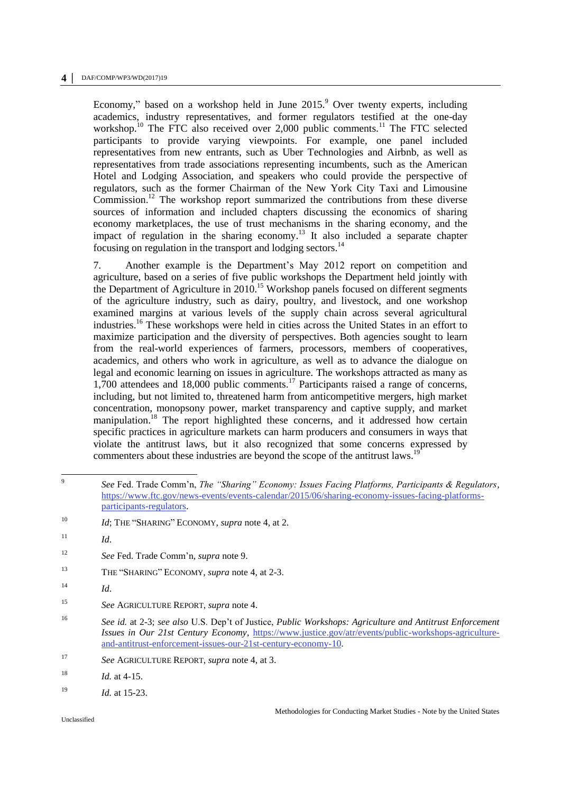#### **4 │** DAF/COMP/WP3/WD(2017)19

Economy," based on a workshop held in June  $2015$ . Over twenty experts, including academics, industry representatives, and former regulators testified at the one-day workshop.<sup>10</sup> The FTC also received over 2,000 public comments.<sup>11</sup> The FTC selected participants to provide varying viewpoints. For example, one panel included representatives from new entrants, such as Uber Technologies and Airbnb, as well as representatives from trade associations representing incumbents, such as the American Hotel and Lodging Association, and speakers who could provide the perspective of regulators, such as the former Chairman of the New York City Taxi and Limousine Commission.<sup>12</sup> The workshop report summarized the contributions from these diverse sources of information and included chapters discussing the economics of sharing economy marketplaces, the use of trust mechanisms in the sharing economy, and the impact of regulation in the sharing economy.<sup>13</sup> It also included a separate chapter focusing on regulation in the transport and lodging sectors.<sup>14</sup>

7. Another example is the Department's May 2012 report on competition and agriculture, based on a series of five public workshops the Department held jointly with the Department of Agriculture in  $2010$ .<sup>15</sup> Workshop panels focused on different segments of the agriculture industry, such as dairy, poultry, and livestock, and one workshop examined margins at various levels of the supply chain across several agricultural industries.<sup>16</sup> These workshops were held in cities across the United States in an effort to maximize participation and the diversity of perspectives. Both agencies sought to learn from the real-world experiences of farmers, processors, members of cooperatives, academics, and others who work in agriculture, as well as to advance the dialogue on legal and economic learning on issues in agriculture. The workshops attracted as many as 1,700 attendees and 18,000 public comments.<sup>17</sup> Participants raised a range of concerns, including, but not limited to, threatened harm from anticompetitive mergers, high market concentration, monopsony power, market transparency and captive supply, and market manipulation.<sup>18</sup> The report highlighted these concerns, and it addressed how certain specific practices in agriculture markets can harm producers and consumers in ways that violate the antitrust laws, but it also recognized that some concerns expressed by commenters about these industries are beyond the scope of the antitrust laws.<sup>1</sup>

<sup>13</sup> THE "SHARING" ECONOMY, *supra* note 4, at 2-3.

 9 *See* Fed. Trade Comm'n, *The "Sharing" Economy: Issues Facing Platforms, Participants & Regulators,* [https://www.ftc.gov/news-events/events-calendar/2015/06/sharing-economy-issues-facing-platforms](https://www.ftc.gov/news-events/events-calendar/2015/06/sharing-economy-issues-facing-platforms-participants-regulators)[participants-regulators.](https://www.ftc.gov/news-events/events-calendar/2015/06/sharing-economy-issues-facing-platforms-participants-regulators)

<sup>&</sup>lt;sup>10</sup> *Id*; THE "SHARING" ECONOMY, *supra* note 4, at 2.

 $11$  *Id.* 

<sup>12</sup> *See* Fed. Trade Comm'n*, supra* note 9.

<sup>14</sup> *Id*.

<sup>15</sup> *See* AGRICULTURE REPORT, *supra* note 4.

<sup>16</sup> *See id.* at 2-3; *see also* U.S. Dep't of Justice, *Public Workshops: Agriculture and Antitrust Enforcement Issues in Our 21st Century Economy*, [https://www.justice.gov/atr/events/public-workshops-agriculture](https://www.justice.gov/atr/events/public-workshops-agriculture-and-antitrust-enforcement-issues-our-21st-century-economy-10)[and-antitrust-enforcement-issues-our-21st-century-economy-10.](https://www.justice.gov/atr/events/public-workshops-agriculture-and-antitrust-enforcement-issues-our-21st-century-economy-10)

<sup>17</sup> *See* AGRICULTURE REPORT, *supra* note 4, at 3.

 $18$  *Id.* at 4-15.

<sup>19</sup> *Id.* at 15-23.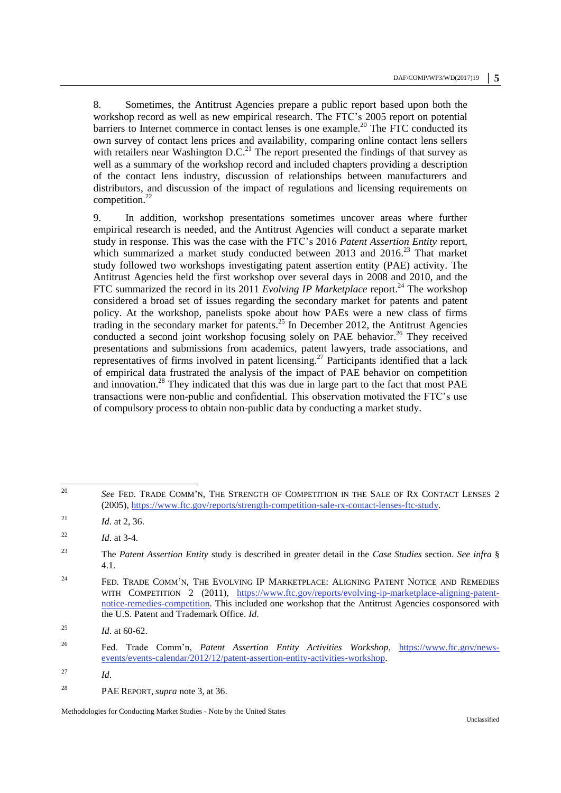<span id="page-4-0"></span>8. Sometimes, the Antitrust Agencies prepare a public report based upon both the workshop record as well as new empirical research. The FTC's 2005 report on potential barriers to Internet commerce in contact lenses is one example.<sup>20</sup> The FTC conducted its own survey of contact lens prices and availability, comparing online contact lens sellers with retailers near Washington  $D.C.<sup>21</sup>$  The report presented the findings of that survey as well as a summary of the workshop record and included chapters providing a description of the contact lens industry, discussion of relationships between manufacturers and distributors, and discussion of the impact of regulations and licensing requirements on competition.<sup>22</sup>

<span id="page-4-1"></span>9. In addition, workshop presentations sometimes uncover areas where further empirical research is needed, and the Antitrust Agencies will conduct a separate market study in response. This was the case with the FTC's 2016 *Patent Assertion Entity* report, which summarized a market study conducted between  $2013$  and  $2016<sup>23</sup>$  That market study followed two workshops investigating patent assertion entity (PAE) activity. The Antitrust Agencies held the first workshop over several days in 2008 and 2010, and the FTC summarized the record in its 2011 *Evolving IP Marketplace* report.<sup>24</sup> The workshop considered a broad set of issues regarding the secondary market for patents and patent policy. At the workshop, panelists spoke about how PAEs were a new class of firms trading in the secondary market for patents.<sup>25</sup> In December 2012, the Antitrust Agencies conducted a second joint workshop focusing solely on PAE behavior.<sup>26</sup> They received presentations and submissions from academics, patent lawyers, trade associations, and representatives of firms involved in patent licensing.<sup>27</sup> Participants identified that a lack of empirical data frustrated the analysis of the impact of PAE behavior on competition and innovation.<sup>28</sup> They indicated that this was due in large part to the fact that most PAE transactions were non-public and confidential. This observation motivated the FTC's use of compulsory process to obtain non-public data by conducting a market study.

 $20$ <sup>20</sup> *See* FED. TRADE COMM'N, THE STRENGTH OF COMPETITION IN THE SALE OF RX CONTACT LENSES 2 (2005)[, https://www.ftc.gov/reports/strength-competition-sale-rx-contact-lenses-ftc-study.](https://www.ftc.gov/reports/strength-competition-sale-rx-contact-lenses-ftc-study)

<sup>&</sup>lt;sup>21</sup> *Id.* at 2, 36.

<sup>22</sup> *Id*. at 3-4.

<sup>23</sup> The *Patent Assertion Entity* study is described in greater detail in the *Case Studies* section. *See infra* § 4.1.

 $24$  FED. TRADE COMM'N, THE EVOLVING IP MARKETPLACE: ALIGNING PATENT NOTICE AND REMEDIES WITH COMPETITION 2 (2011), [https://www.ftc.gov/reports/evolving-ip-marketplace-aligning-patent](https://www.ftc.gov/reports/evolving-ip-marketplace-aligning-patent-notice-remedies-competition)[notice-remedies-competition.](https://www.ftc.gov/reports/evolving-ip-marketplace-aligning-patent-notice-remedies-competition) This included one workshop that the Antitrust Agencies cosponsored with the U.S. Patent and Trademark Office. *Id*.

<sup>&</sup>lt;sup>25</sup> *Id.* at 60-62.

<sup>26</sup> Fed. Trade Comm'n, *Patent Assertion Entity Activities Workshop*, [https://www.ftc.gov/news](https://www.ftc.gov/news-events/events-calendar/2012/12/patent-assertion-entity-activities-workshop)[events/events-calendar/2012/12/patent-assertion-entity-activities-workshop.](https://www.ftc.gov/news-events/events-calendar/2012/12/patent-assertion-entity-activities-workshop)

<sup>27</sup> *Id*.

<sup>28</sup> PAE REPORT, *supra* note [3,](#page-1-0) at 36.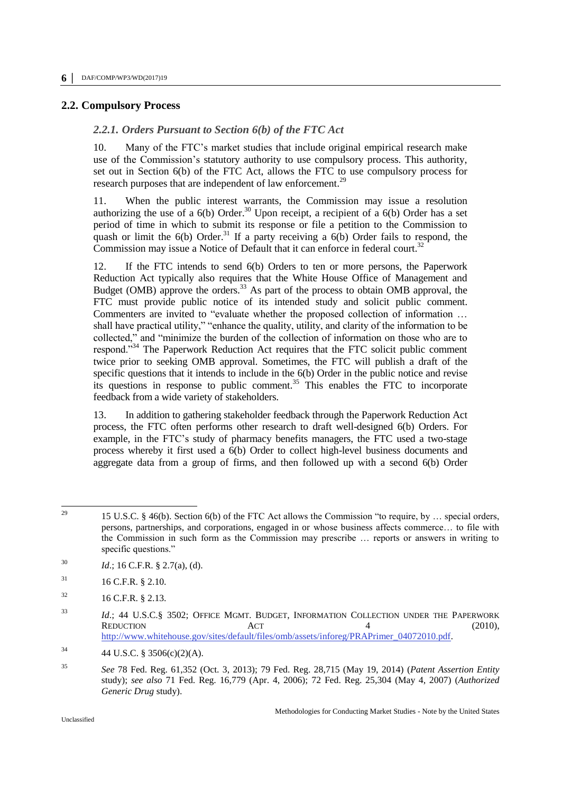#### **2.2. Compulsory Process**

#### *2.2.1. Orders Pursuant to Section 6(b) of the FTC Act*

10. Many of the FTC's market studies that include original empirical research make use of the Commission's statutory authority to use compulsory process. This authority, set out in Section 6(b) of the FTC Act, allows the FTC to use compulsory process for research purposes that are independent of law enforcement.<sup>29</sup>

11. When the public interest warrants, the Commission may issue a resolution authorizing the use of a  $6(b)$  Order.<sup>30</sup> Upon receipt, a recipient of a  $6(b)$  Order has a set period of time in which to submit its response or file a petition to the Commission to quash or limit the  $6(b)$  Order.<sup>31</sup> If a party receiving a  $6(b)$  Order fails to respond, the Commission may issue a Notice of Default that it can enforce in federal court.<sup>32</sup>

12. If the FTC intends to send 6(b) Orders to ten or more persons, the Paperwork Reduction Act typically also requires that the White House Office of Management and Budget (OMB) approve the orders.<sup>33</sup> As part of the process to obtain OMB approval, the FTC must provide public notice of its intended study and solicit public comment. Commenters are invited to "evaluate whether the proposed collection of information … shall have practical utility," "enhance the quality, utility, and clarity of the information to be collected," and "minimize the burden of the collection of information on those who are to respond."<sup>34</sup> The Paperwork Reduction Act requires that the FTC solicit public comment twice prior to seeking OMB approval. Sometimes, the FTC will publish a draft of the specific questions that it intends to include in the 6(b) Order in the public notice and revise its questions in response to public comment. <sup>35</sup> This enables the FTC to incorporate feedback from a wide variety of stakeholders.

13. In addition to gathering stakeholder feedback through the Paperwork Reduction Act process, the FTC often performs other research to draft well-designed 6(b) Orders. For example, in the FTC's study of pharmacy benefits managers, the FTC used a two-stage process whereby it first used a 6(b) Order to collect high-level business documents and aggregate data from a group of firms, and then followed up with a second 6(b) Order

 $29$ <sup>29</sup> 15 U.S.C. § 46(b). Section 6(b) of the FTC Act allows the Commission "to require, by … special orders, persons, partnerships, and corporations, engaged in or whose business affects commerce… to file with the Commission in such form as the Commission may prescribe … reports or answers in writing to specific questions."

<sup>30</sup> *Id*.; 16 C.F.R. § 2.7(a), (d).

 $16$  C.F.R. § 2.10.

 $16$  C.F.R. § 2.13.

<sup>&</sup>lt;sup>33</sup> *Id.*; 44 U.S.C.§ 3502; OFFICE MGMT. BUDGET, INFORMATION COLLECTION UNDER THE PAPERWORK REDUCTION ACT 4 (2010), [http://www.whitehouse.gov/sites/default/files/omb/assets/inforeg/PRAPrimer\\_04072010.pdf.](http://www.whitehouse.gov/sites/default/files/omb/assets/inforeg/PRAPrimer_04072010.pdf)

 $34$  44 U.S.C. § 3506(c)(2)(A).

<sup>35</sup> *See* 78 Fed. Reg. 61,352 (Oct. 3, 2013); 79 Fed. Reg. 28,715 (May 19, 2014) (*Patent Assertion Entity* study); *see also* 71 Fed. Reg. 16,779 (Apr. 4, 2006); 72 Fed. Reg. 25,304 (May 4, 2007) (*Authorized Generic Drug* study).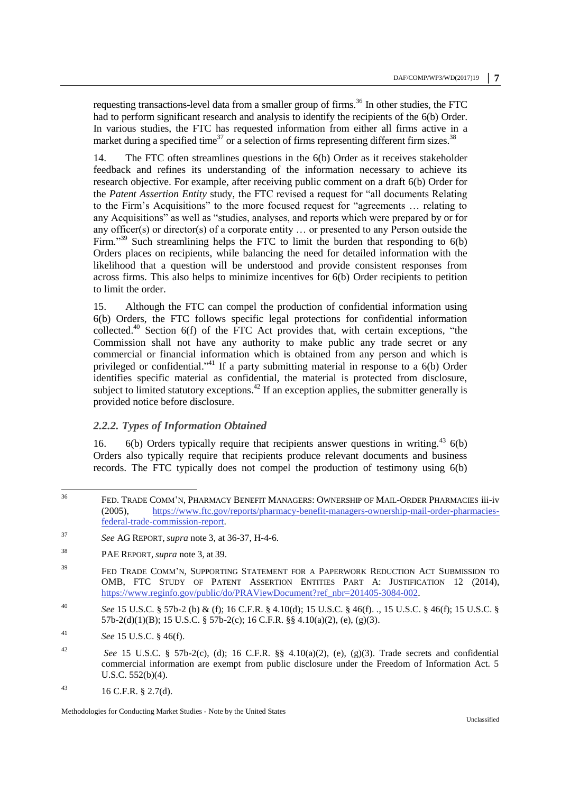<span id="page-6-0"></span>requesting transactions-level data from a smaller group of firms.<sup>36</sup> In other studies, the FTC had to perform significant research and analysis to identify the recipients of the 6(b) Order. In various studies, the FTC has requested information from either all firms active in a market during a specified time<sup>37</sup> or a selection of firms representing different firm sizes.<sup>38</sup>

14. The FTC often streamlines questions in the 6(b) Order as it receives stakeholder feedback and refines its understanding of the information necessary to achieve its research objective. For example, after receiving public comment on a draft 6(b) Order for the *Patent Assertion Entity* study, the FTC revised a request for "all documents Relating to the Firm's Acquisitions" to the more focused request for "agreements … relating to any Acquisitions" as well as "studies, analyses, and reports which were prepared by or for any officer(s) or director(s) of a corporate entity … or presented to any Person outside the Firm.<sup>339</sup> Such streamlining helps the FTC to limit the burden that responding to  $6(b)$ Orders places on recipients, while balancing the need for detailed information with the likelihood that a question will be understood and provide consistent responses from across firms. This also helps to minimize incentives for 6(b) Order recipients to petition to limit the order.

15. Although the FTC can compel the production of confidential information using 6(b) Orders, the FTC follows specific legal protections for confidential information collected.<sup>40</sup> Section  $6(f)$  of the FTC Act provides that, with certain exceptions, "the Commission shall not have any authority to make public any trade secret or any commercial or financial information which is obtained from any person and which is privileged or confidential."<sup>41</sup> If a party submitting material in response to a 6(b) Order identifies specific material as confidential, the material is protected from disclosure, subject to limited statutory exceptions.<sup>42</sup> If an exception applies, the submitter generally is provided notice before disclosure.

### *2.2.2. Types of Information Obtained*

16. 6(b) Orders typically require that recipients answer questions in writing.<sup>43</sup> 6(b) Orders also typically require that recipients produce relevant documents and business records. The FTC typically does not compel the production of testimony using 6(b)

<sup>36</sup> FED. TRADE COMM'N, PHARMACY BENEFIT MANAGERS: OWNERSHIP OF MAIL-ORDER PHARMACIES iii-iv (2005), [https://www.ftc.gov/reports/pharmacy-benefit-managers-ownership-mail-order-pharmacies](https://www.ftc.gov/reports/pharmacy-benefit-managers-ownership-mail-order-pharmacies-federal-trade-commission-report)[federal-trade-commission-report.](https://www.ftc.gov/reports/pharmacy-benefit-managers-ownership-mail-order-pharmacies-federal-trade-commission-report)

<sup>37</sup> *See* AG REPORT, *supra* note [3,](#page-1-0) at 36-37, H-4-6.

<sup>38</sup> PAE REPORT, *supra* note [3,](#page-1-0) at 39.

<sup>&</sup>lt;sup>39</sup> FED TRADE COMM'N, SUPPORTING STATEMENT FOR A PAPERWORK REDUCTION ACT SUBMISSION TO OMB, FTC STUDY OF PATENT ASSERTION ENTITIES PART A: JUSTIFICATION 12 (2014), [https://www.reginfo.gov/public/do/PRAViewDocument?ref\\_nbr=201405-3084-002.](https://www.reginfo.gov/public/do/PRAViewDocument?ref_nbr=201405-3084-002)

<sup>40</sup> *See* 15 U.S.C. § 57b-2 (b) & (f); 16 C.F.R. § 4.10(d); 15 U.S.C. § 46(f). *.*, 15 U.S.C. § 46(f); 15 U.S.C. § 57b-2(d)(1)(B); 15 U.S.C. § 57b-2(c); 16 C.F.R. §§ 4.10(a)(2), (e), (g)(3).

<sup>41</sup> *See* 15 U.S.C. § 46(f).

<sup>42</sup> *See* 15 U.S.C. § 57b-2(c), (d); 16 C.F.R. §§ 4.10(a)(2), (e), (g)(3). Trade secrets and confidential commercial information are exempt from public disclosure under the Freedom of Information Act. 5 U.S.C. 552(b)(4).

<sup>43</sup> 16 C.F.R. § 2.7(d).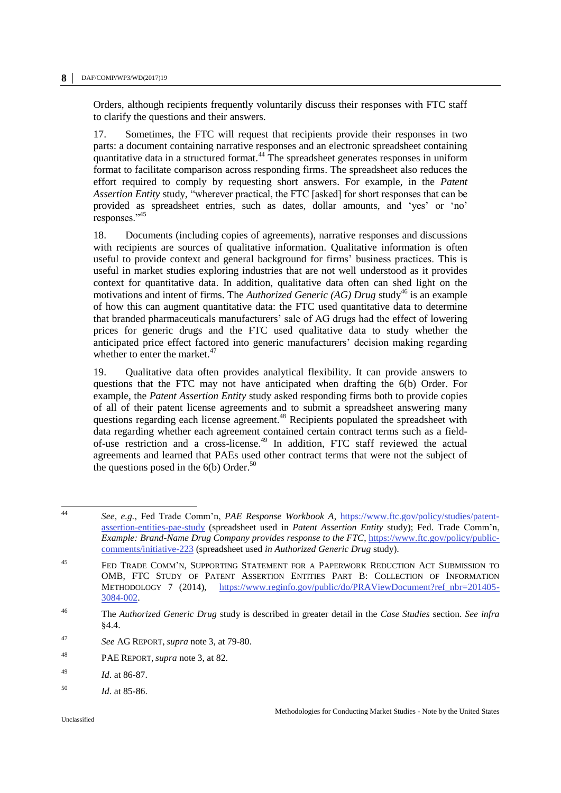Orders, although recipients frequently voluntarily discuss their responses with FTC staff to clarify the questions and their answers.

17. Sometimes, the FTC will request that recipients provide their responses in two parts: a document containing narrative responses and an electronic spreadsheet containing quantitative data in a structured format.<sup>44</sup> The spreadsheet generates responses in uniform format to facilitate comparison across responding firms. The spreadsheet also reduces the effort required to comply by requesting short answers. For example, in the *Patent Assertion Entity* study, "wherever practical, the FTC [asked] for short responses that can be provided as spreadsheet entries, such as dates, dollar amounts, and 'yes' or 'no' responses."<sup>45</sup>

18. Documents (including copies of agreements), narrative responses and discussions with recipients are sources of qualitative information. Qualitative information is often useful to provide context and general background for firms' business practices. This is useful in market studies exploring industries that are not well understood as it provides context for quantitative data. In addition, qualitative data often can shed light on the motivations and intent of firms. The *Authorized Generic (AG) Drug* study<sup>46</sup> is an example of how this can augment quantitative data: the FTC used quantitative data to determine that branded pharmaceuticals manufacturers' sale of AG drugs had the effect of lowering prices for generic drugs and the FTC used qualitative data to study whether the anticipated price effect factored into generic manufacturers' decision making regarding whether to enter the market.<sup>47</sup>

19. Qualitative data often provides analytical flexibility. It can provide answers to questions that the FTC may not have anticipated when drafting the 6(b) Order. For example, the *Patent Assertion Entity* study asked responding firms both to provide copies of all of their patent license agreements and to submit a spreadsheet answering many questions regarding each license agreement.<sup>48</sup> Recipients populated the spreadsheet with data regarding whether each agreement contained certain contract terms such as a fieldof-use restriction and a cross-license.<sup>49</sup> In addition, FTC staff reviewed the actual agreements and learned that PAEs used other contract terms that were not the subject of the questions posed in the  $6(b)$  Order.<sup>50</sup>

 $44$ <sup>44</sup> *See, e.g.*, Fed Trade Comm'n, *PAE Response Workbook A*, [https://www.ftc.gov/policy/studies/patent](https://www.ftc.gov/policy/studies/patent-assertion-entities-pae-study)[assertion-entities-pae-study](https://www.ftc.gov/policy/studies/patent-assertion-entities-pae-study) (spreadsheet used in *Patent Assertion Entity* study); Fed. Trade Comm'n, *Example: Brand-Name Drug Company provides response to the FTC*, [https://www.ftc.gov/policy/public](https://www.ftc.gov/policy/public-comments/initiative-223)[comments/initiative-223](https://www.ftc.gov/policy/public-comments/initiative-223) (spreadsheet used *in Authorized Generic Drug* study).

<sup>45</sup> FED TRADE COMM'N, SUPPORTING STATEMENT FOR A PAPERWORK REDUCTION ACT SUBMISSION TO OMB, FTC STUDY OF PATENT ASSERTION ENTITIES PART B: COLLECTION OF INFORMATION METHODOLOGY 7 (2014), [https://www.reginfo.gov/public/do/PRAViewDocument?ref\\_nbr=201405-](https://www.reginfo.gov/public/do/PRAViewDocument?ref_nbr=201405-3084-002) [3084-002.](https://www.reginfo.gov/public/do/PRAViewDocument?ref_nbr=201405-3084-002)

<sup>46</sup> The *Authorized Generic Drug* study is described in greater detail in the *Case Studies* section. *See infra* §4.4.

<sup>47</sup> *See* AG REPORT, *supra* note [3,](#page-1-0) at 79-80.

<sup>48</sup> PAE REPORT, *supra* note [3,](#page-1-0) at 82.

<sup>49</sup> *Id*. at 86-87.

<sup>50</sup> *Id*. at 85-86.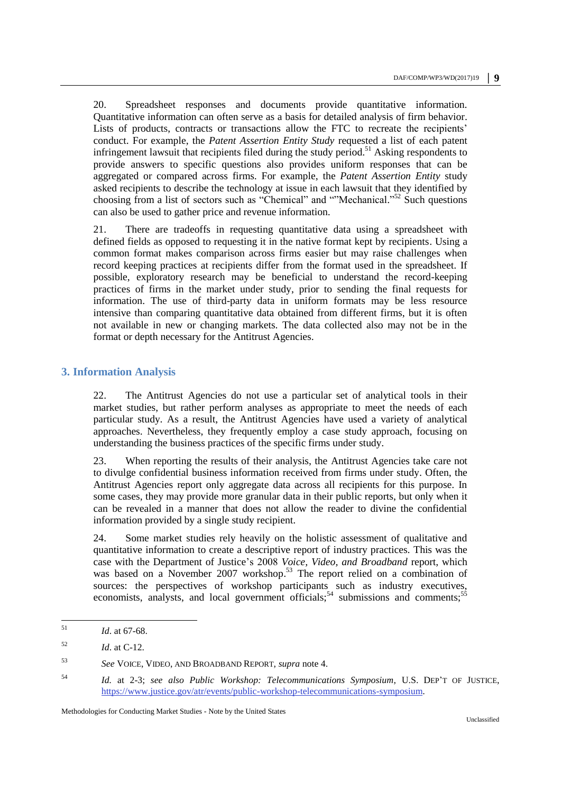20. Spreadsheet responses and documents provide quantitative information. Quantitative information can often serve as a basis for detailed analysis of firm behavior. Lists of products, contracts or transactions allow the FTC to recreate the recipients' conduct. For example, the *Patent Assertion Entity Study* requested a list of each patent infringement lawsuit that recipients filed during the study period.<sup>51</sup> Asking respondents to provide answers to specific questions also provides uniform responses that can be aggregated or compared across firms. For example, the *Patent Assertion Entity* study asked recipients to describe the technology at issue in each lawsuit that they identified by choosing from a list of sectors such as "Chemical" and ""Mechanical."<sup>52</sup> Such questions can also be used to gather price and revenue information.

21. There are tradeoffs in requesting quantitative data using a spreadsheet with defined fields as opposed to requesting it in the native format kept by recipients. Using a common format makes comparison across firms easier but may raise challenges when record keeping practices at recipients differ from the format used in the spreadsheet. If possible, exploratory research may be beneficial to understand the record-keeping practices of firms in the market under study, prior to sending the final requests for information. The use of third-party data in uniform formats may be less resource intensive than comparing quantitative data obtained from different firms, but it is often not available in new or changing markets. The data collected also may not be in the format or depth necessary for the Antitrust Agencies.

#### **3. Information Analysis**

22. The Antitrust Agencies do not use a particular set of analytical tools in their market studies, but rather perform analyses as appropriate to meet the needs of each particular study. As a result, the Antitrust Agencies have used a variety of analytical approaches. Nevertheless, they frequently employ a case study approach, focusing on understanding the business practices of the specific firms under study.

23. When reporting the results of their analysis, the Antitrust Agencies take care not to divulge confidential business information received from firms under study. Often, the Antitrust Agencies report only aggregate data across all recipients for this purpose. In some cases, they may provide more granular data in their public reports, but only when it can be revealed in a manner that does not allow the reader to divine the confidential information provided by a single study recipient.

24. Some market studies rely heavily on the holistic assessment of qualitative and quantitative information to create a descriptive report of industry practices. This was the case with the Department of Justice's 2008 *Voice, Video, and Broadband* report, which was based on a November 2007 workshop.<sup>53</sup> The report relied on a combination of sources: the perspectives of workshop participants such as industry executives, economists, analysts, and local government officials;<sup>54</sup> submissions and comments;<sup>55</sup>

 $51$ *Id.* at 67-68.

 $Id.$  at C-12.

<sup>53</sup> *See* VOICE, VIDEO, AND BROADBAND REPORT, *supra* note 4.

<sup>54</sup> *Id.* at 2-3; *see also Public Workshop: Telecommunications Symposium*, U.S. DEP'T OF JUSTICE, [https://www.justice.gov/atr/events/public-workshop-telecommunications-symposium.](https://www.justice.gov/atr/events/public-workshop-telecommunications-symposium)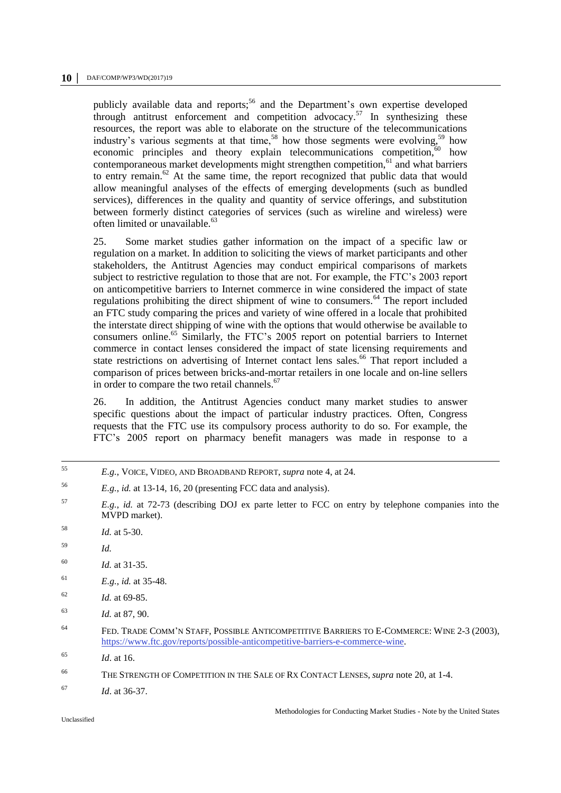publicly available data and reports;<sup>56</sup> and the Department's own expertise developed through antitrust enforcement and competition advocacy. <sup>57</sup> In synthesizing these resources, the report was able to elaborate on the structure of the telecommunications industry's various segments at that time,<sup>58</sup> how those segments were evolving,<sup>59</sup> how economic principles and theory explain telecommunications competition, $60$  how contemporaneous market developments might strengthen competition,<sup>61</sup> and what barriers to entry remain.<sup>62</sup> At the same time, the report recognized that public data that would allow meaningful analyses of the effects of emerging developments (such as bundled services), differences in the quality and quantity of service offerings, and substitution between formerly distinct categories of services (such as wireline and wireless) were often limited or unavailable.<sup>63</sup>

25. Some market studies gather information on the impact of a specific law or regulation on a market. In addition to soliciting the views of market participants and other stakeholders, the Antitrust Agencies may conduct empirical comparisons of markets subject to restrictive regulation to those that are not. For example, the FTC's 2003 report on anticompetitive barriers to Internet commerce in wine considered the impact of state regulations prohibiting the direct shipment of wine to consumers.<sup>64</sup> The report included an FTC study comparing the prices and variety of wine offered in a locale that prohibited the interstate direct shipping of wine with the options that would otherwise be available to consumers online.<sup>65</sup> Similarly, the FTC's 2005 report on potential barriers to Internet commerce in contact lenses considered the impact of state licensing requirements and state restrictions on advertising of Internet contact lens sales.<sup>66</sup> That report included a comparison of prices between bricks-and-mortar retailers in one locale and on-line sellers in order to compare the two retail channels.<sup>67</sup>

26. In addition, the Antitrust Agencies conduct many market studies to answer specific questions about the impact of particular industry practices. Often, Congress requests that the FTC use its compulsory process authority to do so. For example, the FTC's 2005 report on pharmacy benefit managers was made in response to a

- 55 <sup>55</sup> *E.g.*, VOICE, VIDEO, AND BROADBAND REPORT, *supra* note 4, at 24.
- <sup>56</sup> *E.g.*, *id.* at 13-14, 16, 20 (presenting FCC data and analysis).
- <sup>57</sup> *E.g.*, *id.* at 72-73 (describing DOJ ex parte letter to FCC on entry by telephone companies into the MVPD market).
- <sup>58</sup> *Id.* at 5-30.
- <sup>59</sup> *Id.*
- <sup>60</sup> *Id.* at 31-35.
- <sup>61</sup> *E.g.*, *id.* at 35-48.
- $Id.$  at 69-85.
- <sup>63</sup> *Id.* at 87, 90.
- <sup>64</sup> FED. TRADE COMM'N STAFF, POSSIBLE ANTICOMPETITIVE BARRIERS TO E-COMMERCE: WINE 2-3 (2003), [https://www.ftc.gov/reports/possible-anticompetitive-barriers-e-commerce-wine.](https://www.ftc.gov/reports/possible-anticompetitive-barriers-e-commerce-wine)
- <sup>65</sup> *Id*. at 16.
- <sup>66</sup> THE STRENGTH OF COMPETITION IN THE SALE OF RX CONTACT LENSES, *supra* note [20,](#page-4-0) at 1-4.
- <sup>67</sup> *Id*. at 36-37.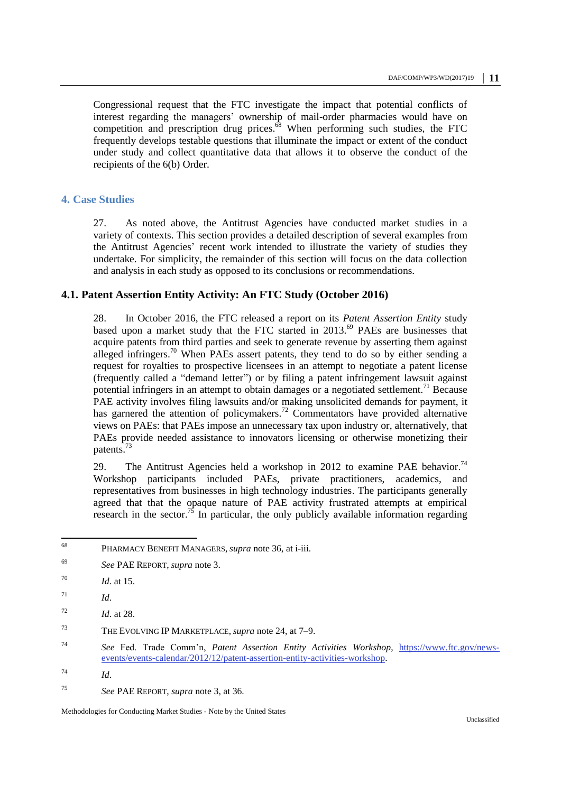Congressional request that the FTC investigate the impact that potential conflicts of interest regarding the managers' ownership of mail-order pharmacies would have on competition and prescription drug prices. <sup>68</sup> When performing such studies, the FTC frequently develops testable questions that illuminate the impact or extent of the conduct under study and collect quantitative data that allows it to observe the conduct of the recipients of the 6(b) Order.

#### **4. Case Studies**

27. As noted above, the Antitrust Agencies have conducted market studies in a variety of contexts. This section provides a detailed description of several examples from the Antitrust Agencies' recent work intended to illustrate the variety of studies they undertake. For simplicity, the remainder of this section will focus on the data collection and analysis in each study as opposed to its conclusions or recommendations.

#### **4.1. Patent Assertion Entity Activity: An FTC Study (October 2016)**

28. In October 2016, the FTC released a report on its *Patent Assertion Entity* study based upon a market study that the FTC started in 2013.<sup>69</sup> PAEs are businesses that acquire patents from third parties and seek to generate revenue by asserting them against alleged infringers.<sup>70</sup> When PAEs assert patents, they tend to do so by either sending a request for royalties to prospective licensees in an attempt to negotiate a patent license (frequently called a "demand letter") or by filing a patent infringement lawsuit against potential infringers in an attempt to obtain damages or a negotiated settlement.<sup>71</sup> Because PAE activity involves filing lawsuits and/or making unsolicited demands for payment, it has garnered the attention of policymakers.<sup>72</sup> Commentators have provided alternative views on PAEs: that PAEs impose an unnecessary tax upon industry or, alternatively, that PAEs provide needed assistance to innovators licensing or otherwise monetizing their patents.<sup>73</sup>

29. The Antitrust Agencies held a workshop in 2012 to examine PAE behavior.<sup>74</sup> Workshop participants included PAEs, private practitioners, academics, and representatives from businesses in high technology industries. The participants generally agreed that that the opaque nature of PAE activity frustrated attempts at empirical research in the sector.<sup>75</sup> In particular, the only publicly available information regarding

<sup>68</sup> PHARMACY BENEFIT MANAGERS, *supra* not[e 36,](#page-6-0) at i-iii.

<sup>69</sup> *See* PAE REPORT, *supra* note [3.](#page-1-0)

<sup>70</sup> *Id*. at 15.

 $^{71}$  *Id.* 

<sup>72</sup> *Id*. at 28.

<sup>73</sup> THE EVOLVING IP MARKETPLACE, *supra* note [24,](#page-4-1) at 7–9.

<sup>74</sup> *See* Fed. Trade Comm'n, *Patent Assertion Entity Activities Workshop*, [https://www.ftc.gov/news](https://www.ftc.gov/news-events/events-calendar/2012/12/patent-assertion-entity-activities-workshop)[events/events-calendar/2012/12/patent-assertion-entity-activities-workshop.](https://www.ftc.gov/news-events/events-calendar/2012/12/patent-assertion-entity-activities-workshop)

<sup>74</sup> *Id*.

<sup>75</sup> *See* PAE REPORT, *supra* note [3,](#page-1-0) at 36.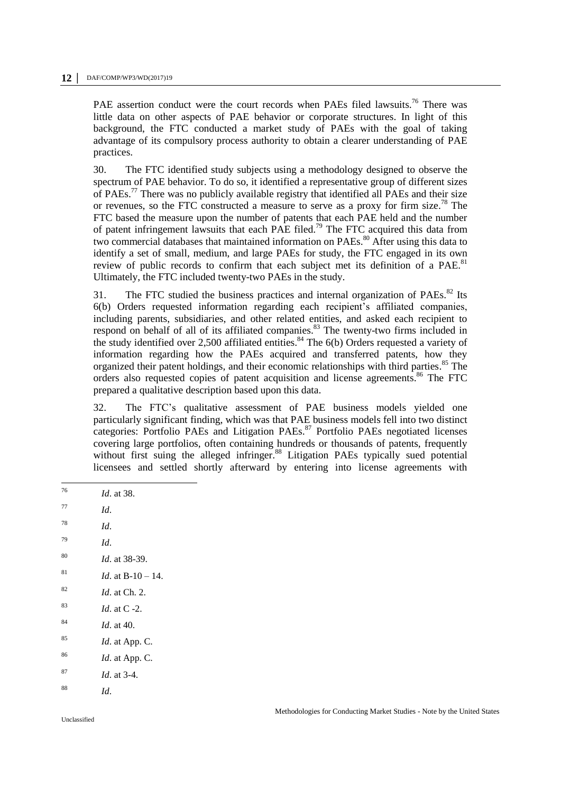PAE assertion conduct were the court records when PAEs filed lawsuits.<sup>76</sup> There was little data on other aspects of PAE behavior or corporate structures. In light of this background, the FTC conducted a market study of PAEs with the goal of taking advantage of its compulsory process authority to obtain a clearer understanding of PAE practices.

30. The FTC identified study subjects using a methodology designed to observe the spectrum of PAE behavior. To do so, it identified a representative group of different sizes of PAEs.<sup>77</sup> There was no publicly available registry that identified all PAEs and their size or revenues, so the FTC constructed a measure to serve as a proxy for firm size.<sup>78</sup> The FTC based the measure upon the number of patents that each PAE held and the number of patent infringement lawsuits that each PAE filed.<sup>79</sup> The FTC acquired this data from two commercial databases that maintained information on PAEs.<sup>80</sup> After using this data to identify a set of small, medium, and large PAEs for study, the FTC engaged in its own review of public records to confirm that each subject met its definition of a PAE.<sup>81</sup> Ultimately, the FTC included twenty-two PAEs in the study.

31. The FTC studied the business practices and internal organization of PAEs. $^{82}$  Its 6(b) Orders requested information regarding each recipient's affiliated companies, including parents, subsidiaries, and other related entities, and asked each recipient to respond on behalf of all of its affiliated companies.<sup>83</sup> The twenty-two firms included in the study identified over 2,500 affiliated entities.<sup>84</sup> The  $6(b)$  Orders requested a variety of information regarding how the PAEs acquired and transferred patents, how they organized their patent holdings, and their economic relationships with third parties. <sup>85</sup> The orders also requested copies of patent acquisition and license agreements.<sup>86</sup> The FTC prepared a qualitative description based upon this data.

32. The FTC's qualitative assessment of PAE business models yielded one particularly significant finding, which was that PAE business models fell into two distinct particularly significant finding, which was the material contract to the categories: Portfolio PAEs and Litigation PAEs.<sup>87</sup> Portfolio PAEs negotiated licenses covering large portfolios, often containing hundreds or thousands of patents, frequently without first suing the alleged infringer.<sup>88</sup> Litigation PAEs typically sued potential licensees and settled shortly afterward by entering into license agreements with

*Id.* at 38. <sup>77</sup> *Id*. <sup>78</sup> *Id*. <sup>79</sup> *Id*. <sup>80</sup> *Id*. at 38-39. <sup>81</sup> *Id.* at B-10 – 14. <sup>82</sup> *Id*. at Ch. 2. <sup>83</sup> *Id*. at C -2. <sup>84</sup> *Id*. at 40. <sup>85</sup> *Id*. at App. C. <sup>86</sup> *Id*. at App. C. <sup>87</sup> *Id*. at 3-4. <sup>88</sup> *Id*.

76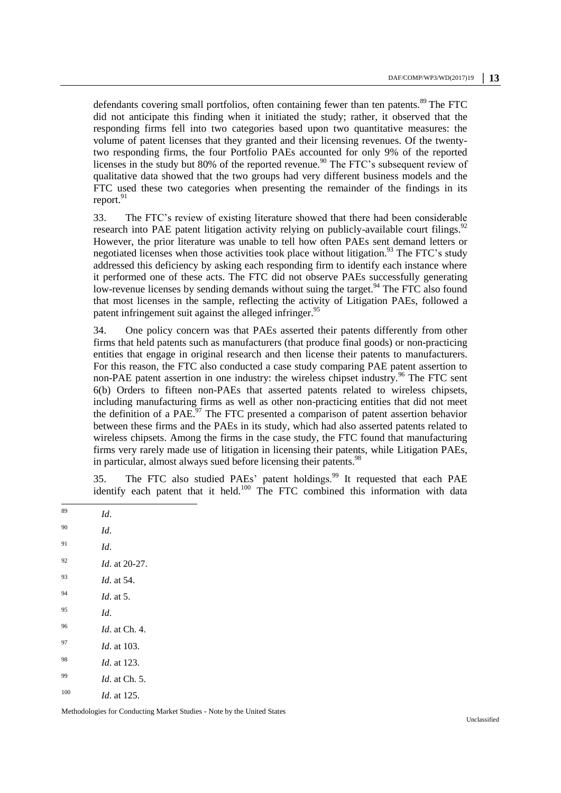defendants covering small portfolios, often containing fewer than ten patents.<sup>89</sup> The FTC did not anticipate this finding when it initiated the study; rather, it observed that the responding firms fell into two categories based upon two quantitative measures: the volume of patent licenses that they granted and their licensing revenues. Of the twentytwo responding firms, the four Portfolio PAEs accounted for only 9% of the reported licenses in the study but 80% of the reported revenue.<sup>90</sup> The FTC's subsequent review of qualitative data showed that the two groups had very different business models and the FTC used these two categories when presenting the remainder of the findings in its report. $91$ 

33. The FTC's review of existing literature showed that there had been considerable research into PAE patent litigation activity relying on publicly-available court filings.<sup>92</sup> However, the prior literature was unable to tell how often PAEs sent demand letters or negotiated licenses when those activities took place without litigation.<sup>93</sup> The FTC's study addressed this deficiency by asking each responding firm to identify each instance where it performed one of these acts. The FTC did not observe PAEs successfully generating low-revenue licenses by sending demands without suing the target.<sup>94</sup> The FTC also found that most licenses in the sample, reflecting the activity of Litigation PAEs, followed a patent infringement suit against the alleged infringer.<sup>95</sup>

34. One policy concern was that PAEs asserted their patents differently from other firms that held patents such as manufacturers (that produce final goods) or non-practicing entities that engage in original research and then license their patents to manufacturers. For this reason, the FTC also conducted a case study comparing PAE patent assertion to non-PAE patent assertion in one industry: the wireless chipset industry.<sup>96</sup> The FTC sent 6(b) Orders to fifteen non-PAEs that asserted patents related to wireless chipsets, including manufacturing firms as well as other non-practicing entities that did not meet the definition of a PAE. $^{97}$  The FTC presented a comparison of patent assertion behavior between these firms and the PAEs in its study, which had also asserted patents related to wireless chipsets. Among the firms in the case study, the FTC found that manufacturing firms very rarely made use of litigation in licensing their patents, while Litigation PAEs, in particular, almost always sued before licensing their patents.<sup>98</sup>

35. The FTC also studied PAEs' patent holdings.<sup>99</sup> It requested that each PAE identify each patent that it held.<sup>100</sup> The FTC combined this information with data

89

*Id.* <sup>90</sup> *Id*.  $^{91}$  *Id.* <sup>92</sup> *Id*. at 20-27. <sup>93</sup> *Id*. at 54. <sup>94</sup> *Id*. at 5. <sup>95</sup> *Id*. <sup>96</sup> *Id*. at Ch. 4. <sup>97</sup> *Id*. at 103. <sup>98</sup> *Id*. at 123. <sup>99</sup> *Id*. at Ch. 5. <sup>100</sup> *Id*. at 125.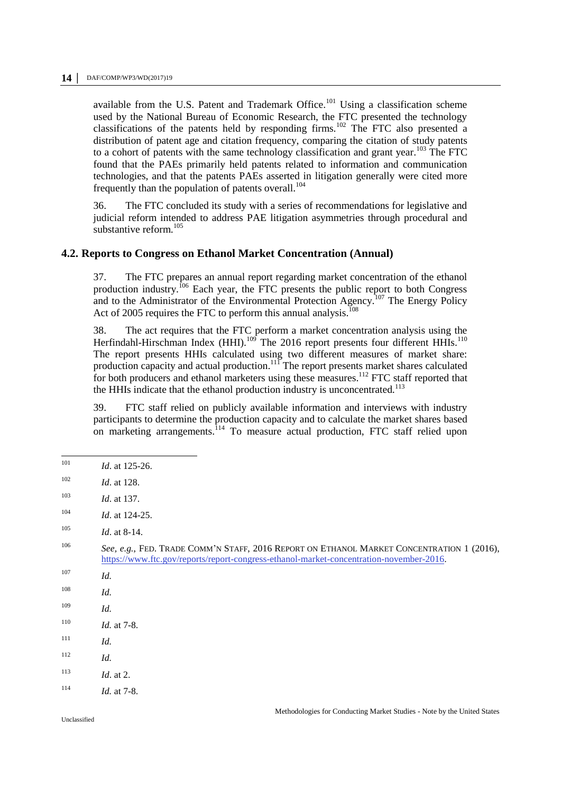available from the U.S. Patent and Trademark Office.<sup>101</sup> Using a classification scheme used by the National Bureau of Economic Research, the FTC presented the technology classifications of the patents held by responding firms.<sup>102</sup> The FTC also presented a distribution of patent age and citation frequency, comparing the citation of study patents to a cohort of patents with the same technology classification and grant year.<sup>103</sup> The FTC found that the PAEs primarily held patents related to information and communication technologies, and that the patents PAEs asserted in litigation generally were cited more frequently than the population of patents overall.<sup>104</sup>

36. The FTC concluded its study with a series of recommendations for legislative and judicial reform intended to address PAE litigation asymmetries through procedural and substantive reform. $105$ 

#### **4.2. Reports to Congress on Ethanol Market Concentration (Annual)**

37. The FTC prepares an annual report regarding market concentration of the ethanol production industry.<sup>106</sup> Each year, the FTC presents the public report to both Congress and to the Administrator of the Environmental Protection Agency.<sup>107</sup> The Energy Policy Act of 2005 requires the FTC to perform this annual analysis.<sup>108</sup>

38. The act requires that the FTC perform a market concentration analysis using the Herfindahl-Hirschman Index (HHI).<sup>109</sup> The 2016 report presents four different HHIs.<sup>110</sup> The report presents HHIs calculated using two different measures of market share: production capacity and actual production.<sup>111</sup> The report presents market shares calculated for both producers and ethanol marketers using these measures.<sup>112</sup> FTC staff reported that the HHIs indicate that the ethanol production industry is unconcentrated.<sup>113</sup>

39. FTC staff relied on publicly available information and interviews with industry participants to determine the production capacity and to calculate the market shares based on marketing arrangements.<sup>114</sup> To measure actual production, FTC staff relied upon

<sup>104</sup> *Id*. at 124-25.

- $110$  *Id.* at 7-8.
- <sup>111</sup> *Id.*
- <sup>112</sup> *Id.*
- $113$  *Id.* at 2.
- $114$  *Id.* at 7-8.

<sup>101</sup> *Id.* at 125-26.

<sup>102</sup> *Id*. at 128.

<sup>103</sup> *Id*. at 137.

<sup>105</sup> *Id*. at 8-14.

<sup>106</sup> *See, e.g.*, FED. TRADE COMM'N STAFF, 2016 REPORT ON ETHANOL MARKET CONCENTRATION 1 (2016), [https://www.ftc.gov/reports/report-congress-ethanol-market-concentration-november-2016.](https://www.ftc.gov/reports/report-congress-ethanol-market-concentration-november-2016)

<sup>107</sup> *Id.*

<sup>108</sup> *Id.*

<sup>109</sup> *Id.*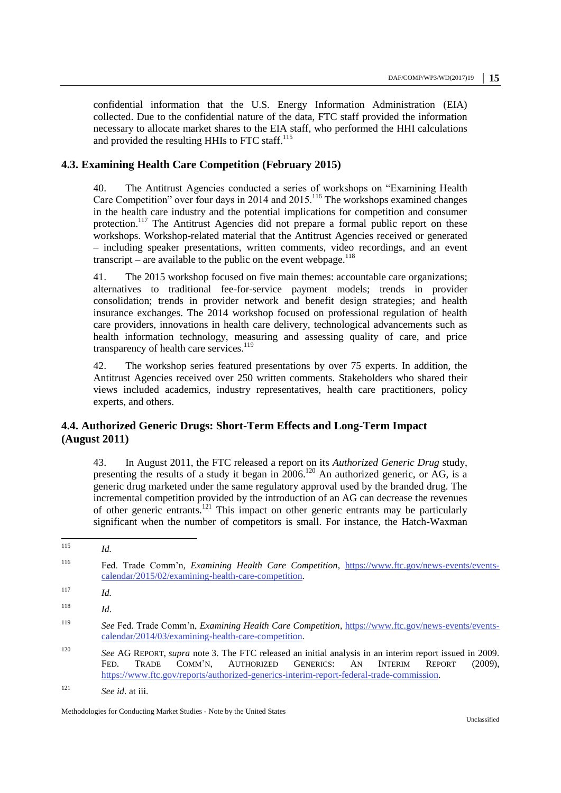confidential information that the U.S. Energy Information Administration (EIA) collected. Due to the confidential nature of the data, FTC staff provided the information necessary to allocate market shares to the EIA staff, who performed the HHI calculations and provided the resulting HHIs to FTC staff.<sup>115</sup>

# **4.3. Examining Health Care Competition (February 2015)**

40. The Antitrust Agencies conducted a series of workshops on "Examining Health Care Competition" over four days in 2014 and 2015.<sup>116</sup> The workshops examined changes in the health care industry and the potential implications for competition and consumer protection.<sup>117</sup> The Antitrust Agencies did not prepare a formal public report on these workshops. Workshop-related material that the Antitrust Agencies received or generated – including speaker presentations, written comments, video recordings, and an event transcript – are available to the public on the event webpage. $^{118}$ 

41. The 2015 workshop focused on five main themes: accountable care organizations; alternatives to traditional fee-for-service payment models; trends in provider consolidation; trends in provider network and benefit design strategies; and health insurance exchanges. The 2014 workshop focused on professional regulation of health care providers, innovations in health care delivery, technological advancements such as health information technology, measuring and assessing quality of care, and price transparency of health care services. $119$ 

42. The workshop series featured presentations by over 75 experts. In addition, the Antitrust Agencies received over 250 written comments. Stakeholders who shared their views included academics, industry representatives, health care practitioners, policy experts, and others.

# **4.4. Authorized Generic Drugs: Short-Term Effects and Long-Term Impact (August 2011)**

43. In August 2011, the FTC released a report on its *Authorized Generic Drug* study, presenting the results of a study it began in  $2006$ .<sup>120</sup> An authorized generic, or AG, is a generic drug marketed under the same regulatory approval used by the branded drug. The incremental competition provided by the introduction of an AG can decrease the revenues of other generic entrants.<sup>121</sup> This impact on other generic entrants may be particularly significant when the number of competitors is small. For instance, the Hatch-Waxman

<sup>115</sup> *Id.* <sup>116</sup> Fed. Trade Comm'n, *Examining Health Care Competition*, [https://www.ftc.gov/news-events/events](https://www.ftc.gov/news-events/events-calendar/2015/02/examining-health-care-competition)[calendar/2015/02/examining-health-care-competition.](https://www.ftc.gov/news-events/events-calendar/2015/02/examining-health-care-competition) <sup>117</sup> *Id.*  <sup>118</sup> *Id*. <sup>119</sup> *See* Fed. Trade Comm'n, *Examining Health Care Competition*, [https://www.ftc.gov/news-events/events](https://www.ftc.gov/news-events/events-calendar/2014/03/examining-health-care-competition)[calendar/2014/03/examining-health-care-competition.](https://www.ftc.gov/news-events/events-calendar/2014/03/examining-health-care-competition) <sup>120</sup> *See* AG REPORT, *supra* note [3.](#page-1-0) The FTC released an initial analysis in an interim report issued in 2009. FED. TRADE COMM'N, AUTHORIZED GENERICS: AN INTERIM REPORT (2009), [https://www.ftc.gov/reports/authorized-generics-interim-report-federal-trade-commission.](https://www.ftc.gov/reports/authorized-generics-interim-report-federal-trade-commission)  <sup>121</sup> *See id*. at iii.

Methodologies for Conducting Market Studies - Note by the United States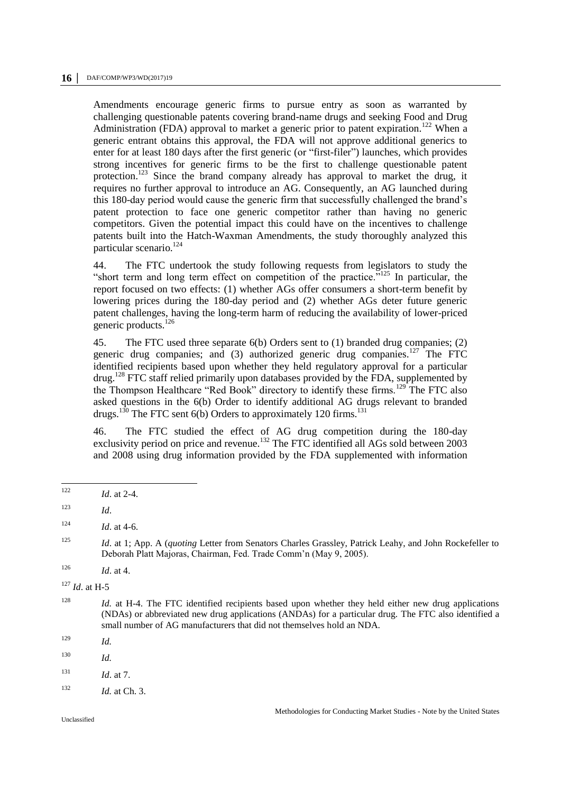Amendments encourage generic firms to pursue entry as soon as warranted by challenging questionable patents covering brand-name drugs and seeking Food and Drug Administration (FDA) approval to market a generic prior to patent expiration.<sup>122</sup> When a generic entrant obtains this approval, the FDA will not approve additional generics to enter for at least 180 days after the first generic (or "first-filer") launches, which provides strong incentives for generic firms to be the first to challenge questionable patent protection.<sup>123</sup> Since the brand company already has approval to market the drug, it requires no further approval to introduce an AG. Consequently, an AG launched during this 180-day period would cause the generic firm that successfully challenged the brand's patent protection to face one generic competitor rather than having no generic competitors. Given the potential impact this could have on the incentives to challenge patents built into the Hatch-Waxman Amendments, the study thoroughly analyzed this particular scenario.<sup>124</sup>

44. The FTC undertook the study following requests from legislators to study the "short term and long term effect on competition of the practice."<sup>125</sup> In particular, the report focused on two effects: (1) whether AGs offer consumers a short-term benefit by lowering prices during the 180-day period and (2) whether AGs deter future generic patent challenges, having the long-term harm of reducing the availability of lower-priced generic products.<sup>126</sup>

45. The FTC used three separate 6(b) Orders sent to (1) branded drug companies; (2) generic drug companies; and  $(3)$  authorized generic drug companies.<sup>127</sup> The FTC identified recipients based upon whether they held regulatory approval for a particular  $d\text{rug.}^{128}$  FTC staff relied primarily upon databases provided by the FDA, supplemented by the Thompson Healthcare "Red Book" directory to identify these firms.<sup>129</sup> The FTC also asked questions in the 6(b) Order to identify additional AG drugs relevant to branded drugs.<sup>130</sup> The FTC sent 6(b) Orders to approximately 120 firms.<sup>131</sup>

46. The FTC studied the effect of AG drug competition during the 180-day exclusivity period on price and revenue.<sup>132</sup> The FTC identified all AGs sold between 2003 and 2008 using drug information provided by the FDA supplemented with information

<sup>129</sup> *Id.*

 $131$  *Id.* at 7.

<sup>122</sup> *Id.* at 2-4.

 $123$  *Id.* 

 $124$  *Id.* at 4-6.

<sup>125</sup> *Id*. at 1; App. A (*quoting* Letter from Senators Charles Grassley, Patrick Leahy, and John Rockefeller to Deborah Platt Majoras, Chairman, Fed. Trade Comm'n (May 9, 2005).

 $126$  *Id.* at 4.

<sup>127</sup> *Id*. at H-5

<sup>&</sup>lt;sup>128</sup> *Id.* at H-4. The FTC identified recipients based upon whether they held either new drug applications (NDAs) or abbreviated new drug applications (ANDAs) for a particular drug. The FTC also identified a small number of AG manufacturers that did not themselves hold an NDA.

<sup>130</sup> *Id.*

 $132$  *Id.* at Ch. 3.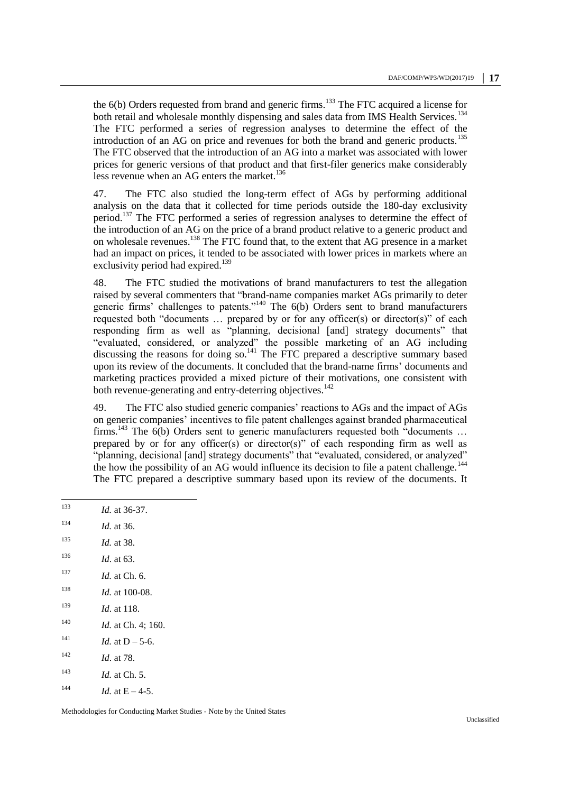the  $6(b)$  Orders requested from brand and generic firms.<sup>133</sup> The FTC acquired a license for both retail and wholesale monthly dispensing and sales data from IMS Health Services.<sup>134</sup> The FTC performed a series of regression analyses to determine the effect of the introduction of an AG on price and revenues for both the brand and generic products.<sup>135</sup> The FTC observed that the introduction of an AG into a market was associated with lower prices for generic versions of that product and that first-filer generics make considerably less revenue when an AG enters the market.<sup>136</sup>

47. The FTC also studied the long-term effect of AGs by performing additional analysis on the data that it collected for time periods outside the 180-day exclusivity period.<sup>137</sup> The FTC performed a series of regression analyses to determine the effect of the introduction of an AG on the price of a brand product relative to a generic product and on wholesale revenues.<sup>138</sup> The FTC found that, to the extent that AG presence in a market had an impact on prices, it tended to be associated with lower prices in markets where an exclusivity period had expired.<sup>139</sup>

48. The FTC studied the motivations of brand manufacturers to test the allegation raised by several commenters that "brand-name companies market AGs primarily to deter generic firms' challenges to patents."<sup>140</sup> The 6(b) Orders sent to brand manufacturers requested both "documents … prepared by or for any officer(s) or director(s)" of each responding firm as well as "planning, decisional [and] strategy documents" that "evaluated, considered, or analyzed" the possible marketing of an AG including discussing the reasons for doing  $so<sup>141</sup>$  The FTC prepared a descriptive summary based upon its review of the documents. It concluded that the brand-name firms' documents and marketing practices provided a mixed picture of their motivations, one consistent with both revenue-generating and entry-deterring objectives.<sup>142</sup>

49. The FTC also studied generic companies' reactions to AGs and the impact of AGs on generic companies' incentives to file patent challenges against branded pharmaceutical firms.<sup>143</sup> The  $6(b)$  Orders sent to generic manufacturers requested both "documents ... prepared by or for any officer(s) or director(s)" of each responding firm as well as "planning, decisional [and] strategy documents" that "evaluated, considered, or analyzed" the how the possibility of an AG would influence its decision to file a patent challenge.<sup>144</sup> The FTC prepared a descriptive summary based upon its review of the documents. It

 $133$ *Id.* at 36-37. *Id.* at 36. *Id.* at 38. *Id*. at 63. *Id.* at Ch. 6. *Id.* at 100-08. *Id*. at 118. *Id.* at Ch. 4; 160. <sup>141</sup> *Id.* at D – 5-6. *Id*. at 78. *Id.* at Ch. 5. <sup>144</sup> *Id.* at  $E - 4-5$ .